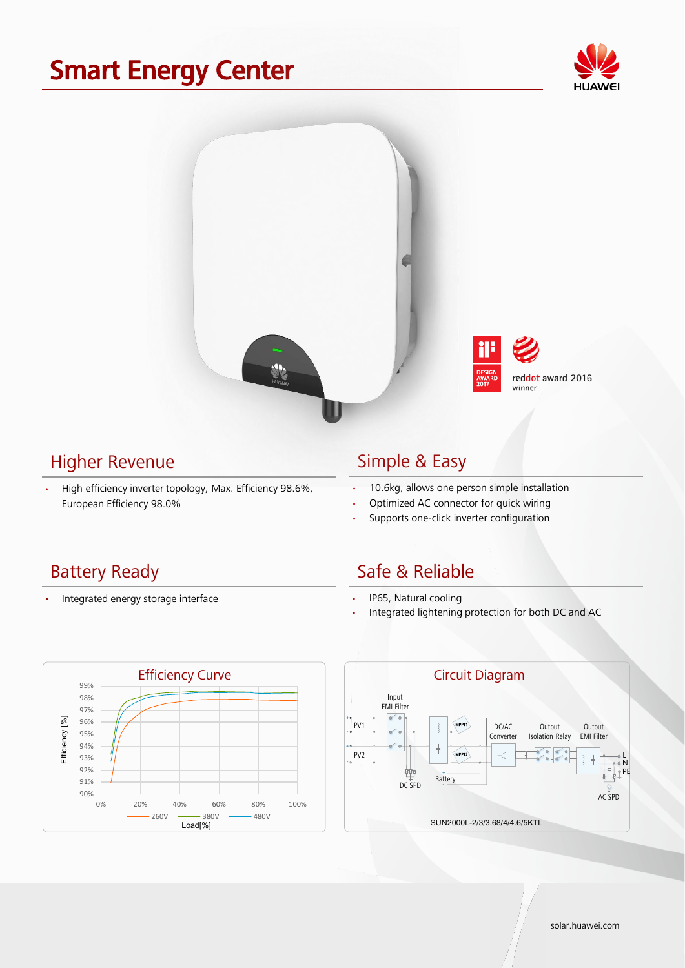## Smart Energy Center





#### Higher Revenue

• High efficiency inverter topology, Max. Efficiency 98.6%, European Efficiency 98.0%

#### Simple & Easy

- 10.6kg, allows one person simple installation
- Optimized AC connector for quick wiring
- Supports one-click inverter configuration

### Battery Ready

• Integrated energy storage interface

### Safe & Reliable

- IP65, Natural cooling
- Integrated lightening protection for both DC and AC